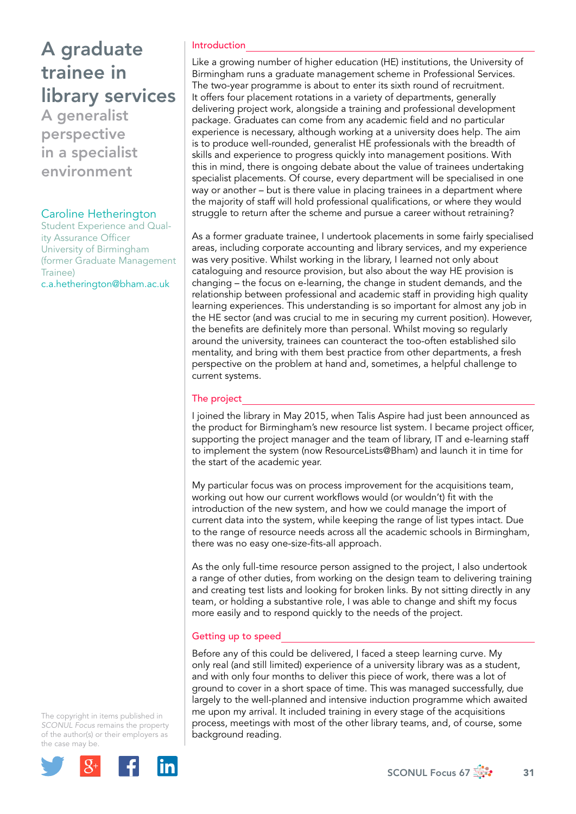## A graduate trainee in library services

A generalist perspective in a specialist environment

### Caroline Hetherington

Student Experience and Quality Assurance Officer University of Birmingham (former Graduate Management Trainee) [c.a.hetherington@bham.ac.uk](file:///Users/stevegardner/Desktop/Focus%2067/c.a.hetherington@bham.ac.uk)

#### Introduction

Like a growing number of higher education (HE) institutions, the University of Birmingham runs a graduate management scheme in Professional Services. The two-year programme is about to enter its sixth round of recruitment. It offers four placement rotations in a variety of departments, generally delivering project work, alongside a training and professional development package. Graduates can come from any academic field and no particular experience is necessary, although working at a university does help. The aim is to produce well-rounded, generalist HE professionals with the breadth of skills and experience to progress quickly into management positions. With this in mind, there is ongoing debate about the value of trainees undertaking specialist placements. Of course, every department will be specialised in one way or another – but is there value in placing trainees in a department where the majority of staff will hold professional qualifications, or where they would struggle to return after the scheme and pursue a career without retraining?

As a former graduate trainee, I undertook placements in some fairly specialised areas, including corporate accounting and library services, and my experience was very positive. Whilst working in the library, I learned not only about cataloguing and resource provision, but also about the way HE provision is changing – the focus on e-learning, the change in student demands, and the relationship between professional and academic staff in providing high quality learning experiences. This understanding is so important for almost any job in the HE sector (and was crucial to me in securing my current position). However, the benefits are definitely more than personal. Whilst moving so regularly around the university, trainees can counteract the too-often established silo mentality, and bring with them best practice from other departments, a fresh perspective on the problem at hand and, sometimes, a helpful challenge to current systems.

### The project

I joined the library in May 2015, when Talis Aspire had just been announced as the product for Birmingham's new resource list system. I became project officer, supporting the project manager and the team of library, IT and e-learning staff to implement the system (now ResourceLists@Bham) and launch it in time for the start of the academic year.

My particular focus was on process improvement for the acquisitions team, working out how our current workflows would (or wouldn't) fit with the introduction of the new system, and how we could manage the import of current data into the system, while keeping the range of list types intact. Due to the range of resource needs across all the academic schools in Birmingham, there was no easy one-size-fits-all approach.

As the only full-time resource person assigned to the project, I also undertook a range of other duties, from working on the design team to delivering training and creating test lists and looking for broken links. By not sitting directly in any team, or holding a substantive role, I was able to change and shift my focus more easily and to respond quickly to the needs of the project.

#### Getting up to speed

Before any of this could be delivered, I faced a steep learning curve. My only real (and still limited) experience of a university library was as a student, and with only four months to deliver this piece of work, there was a lot of ground to cover in a short space of time. This was managed successfully, due largely to the well-planned and intensive induction programme which awaited me upon my arrival. It included training in every stage of the acquisitions process, meetings with most of the other library teams, and, of course, some background reading.

The copyright in items published in *SCONUL Focus* remains the property of the author(s) or their employers as the case may be.



SCONUL Focus 67  $\frac{1}{200}$  31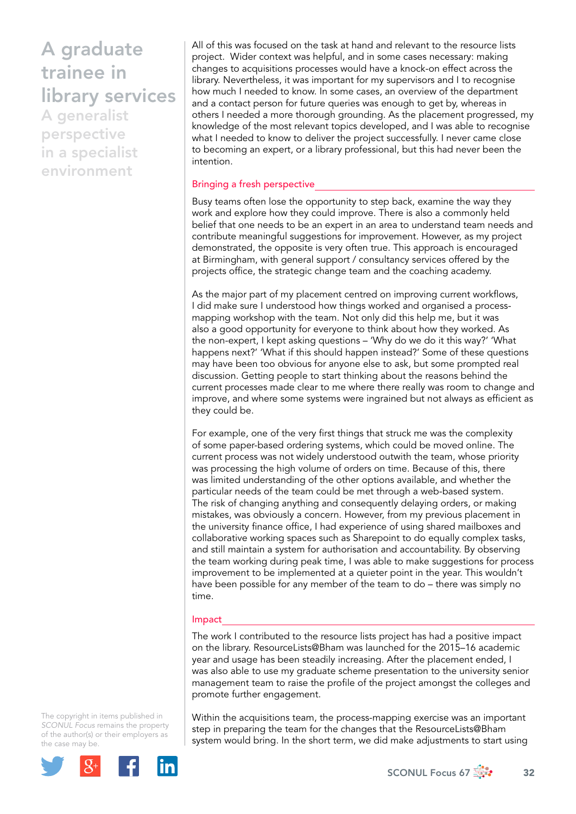# A graduate trainee in library services

A generalist perspective in a specialist environment

All of this was focused on the task at hand and relevant to the resource lists project. Wider context was helpful, and in some cases necessary: making changes to acquisitions processes would have a knock-on effect across the library. Nevertheless, it was important for my supervisors and I to recognise how much I needed to know. In some cases, an overview of the department and a contact person for future queries was enough to get by, whereas in others I needed a more thorough grounding. As the placement progressed, my knowledge of the most relevant topics developed, and I was able to recognise what I needed to know to deliver the project successfully. I never came close to becoming an expert, or a library professional, but this had never been the intention.

#### Bringing a fresh perspective

Busy teams often lose the opportunity to step back, examine the way they work and explore how they could improve. There is also a commonly held belief that one needs to be an expert in an area to understand team needs and contribute meaningful suggestions for improvement. However, as my project demonstrated, the opposite is very often true. This approach is encouraged at Birmingham, with general support / consultancy services offered by the projects office, the strategic change team and the coaching academy.

As the major part of my placement centred on improving current workflows, I did make sure I understood how things worked and organised a processmapping workshop with the team. Not only did this help me, but it was also a good opportunity for everyone to think about how they worked. As the non-expert, I kept asking questions – 'Why do we do it this way?' 'What happens next?' 'What if this should happen instead?' Some of these questions may have been too obvious for anyone else to ask, but some prompted real discussion. Getting people to start thinking about the reasons behind the current processes made clear to me where there really was room to change and improve, and where some systems were ingrained but not always as efficient as they could be.

For example, one of the very first things that struck me was the complexity of some paper-based ordering systems, which could be moved online. The current process was not widely understood outwith the team, whose priority was processing the high volume of orders on time. Because of this, there was limited understanding of the other options available, and whether the particular needs of the team could be met through a web-based system. The risk of changing anything and consequently delaying orders, or making mistakes, was obviously a concern. However, from my previous placement in the university finance office, I had experience of using shared mailboxes and collaborative working spaces such as Sharepoint to do equally complex tasks, and still maintain a system for authorisation and accountability. By observing the team working during peak time, I was able to make suggestions for process improvement to be implemented at a quieter point in the year. This wouldn't have been possible for any member of the team to do – there was simply no time.

#### Impact

The work I contributed to the resource lists project has had a positive impact on the library. ResourceLists@Bham was launched for the 2015–16 academic year and usage has been steadily increasing. After the placement ended, I was also able to use my graduate scheme presentation to the university senior management team to raise the profile of the project amongst the colleges and promote further engagement.

The copyright in items published in *SCONUL Focus* remains the property of the author(s) or their employers as the case may be.



Within the acquisitions team, the process-mapping exercise was an important step in preparing the team for the changes that the ResourceLists@Bham system would bring. In the short term, we did make adjustments to start using